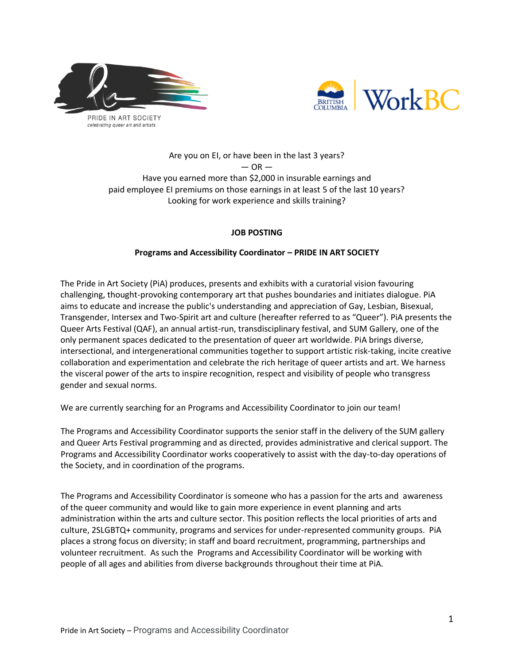



# Are you on EI, or have been in the last 3 years?  $-$  OR  $-$ Have you earned more than \$2,000 in insurable earnings and paid employee EI premiums on those earnings in at least 5 of the last 10 years? Looking for work experience and skills training?

## **JOB POSTING**

## **Programs and Accessibility Coordinator – PRIDE IN ART SOCIETY**

The Pride in Art Society (PiA) produces, presents and exhibits with a curatorial vision favouring challenging, thought-provoking contemporary art that pushes boundaries and initiates dialogue. PiA aims to educate and increase the public's understanding and appreciation of Gay, Lesbian, Bisexual, Transgender, Intersex and Two-Spirit art and culture (hereafter referred to as "Queer"). PiA presents the Queer Arts Festival (QAF), an annual artist-run, transdisciplinary festival, and SUM Gallery, one of the only permanent spaces dedicated to the presentation of queer art worldwide. PiA brings diverse, intersectional, and intergenerational communities together to support artistic risk-taking, incite creative collaboration and experimentation and celebrate the rich heritage of queer artists and art. We harness the visceral power of the arts to inspire recognition, respect and visibility of people who transgress gender and sexual norms.

We are currently searching for an Programs and Accessibility Coordinator to join our team!

The Programs and Accessibility Coordinator supports the senior staff in the delivery of the SUM gallery and Queer Arts Festival programming and as directed, provides administrative and clerical support. The Programs and Accessibility Coordinator works cooperatively to assist with the day-to-day operations of the Society, and in coordination of the programs.

The Programs and Accessibility Coordinator is someone who has a passion for the arts and awareness of the queer community and would like to gain more experience in event planning and arts administration within the arts and culture sector. This position reflects the local priorities of arts and culture, 2SLGBTQ+ community, programs and services for under-represented community groups. PiA places a strong focus on diversity; in staff and board recruitment, programming, partnerships and volunteer recruitment. As such the Programs and Accessibility Coordinator will be working with people of all ages and abilities from diverse backgrounds throughout their time at PiA.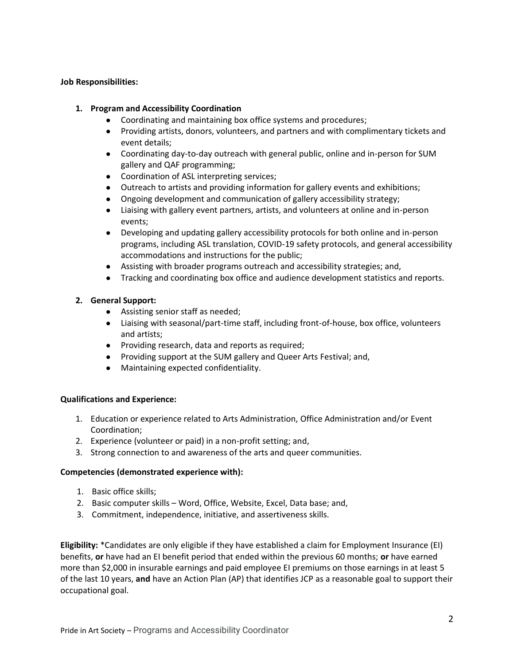#### **Job Responsibilities:**

#### **1. Program and Accessibility Coordination**

- Coordinating and maintaining box office systems and procedures;
- Providing artists, donors, volunteers, and partners and with complimentary tickets and event details;
- Coordinating day-to-day outreach with general public, online and in-person for SUM gallery and QAF programming;
- Coordination of ASL interpreting services;
- Outreach to artists and providing information for gallery events and exhibitions;
- Ongoing development and communication of gallery accessibility strategy;
- Liaising with gallery event partners, artists, and volunteers at online and in-person events;
- Developing and updating gallery accessibility protocols for both online and in-person programs, including ASL translation, COVID-19 safety protocols, and general accessibility accommodations and instructions for the public;
- Assisting with broader programs outreach and accessibility strategies; and,
- Tracking and coordinating box office and audience development statistics and reports.

## **2. General Support:**

- Assisting senior staff as needed;
- Liaising with seasonal/part-time staff, including front-of-house, box office, volunteers and artists;
- Providing research, data and reports as required;
- Providing support at the SUM gallery and Queer Arts Festival; and,
- Maintaining expected confidentiality.

#### **Qualifications and Experience:**

- 1. Education or experience related to Arts Administration, Office Administration and/or Event Coordination;
- 2. Experience (volunteer or paid) in a non-profit setting; and,
- 3. Strong connection to and awareness of the arts and queer communities.

#### **Competencies (demonstrated experience with):**

- 1. Basic office skills;
- 2. Basic computer skills Word, Office, Website, Excel, Data base; and,
- 3. Commitment, independence, initiative, and assertiveness skills.

**Eligibility:** \*Candidates are only eligible if they have established a claim for Employment Insurance (EI) benefits, **or** have had an EI benefit period that ended within the previous 60 months; **or** have earned more than \$2,000 in insurable earnings and paid employee EI premiums on those earnings in at least 5 of the last 10 years, **and** have an Action Plan (AP) that identifies JCP as a reasonable goal to support their occupational goal.